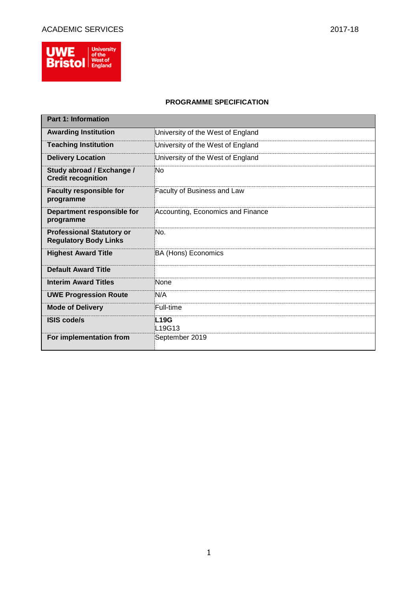

## **PROGRAMME SPECIFICATION**

| <b>Part 1: Information</b>                                       |                                                |
|------------------------------------------------------------------|------------------------------------------------|
| <b>Awarding Institution</b>                                      | University of the West of England              |
| <b>Teaching Institution</b>                                      | University of the West of England              |
| <b>Delivery Location</b>                                         | University of the West of England              |
| Study abroad / Exchange /<br><b>Credit recognition</b>           | No                                             |
| <b>Faculty responsible for</b><br>programme                      | Faculty of Business and Law                    |
| Department responsible for<br>programme                          | Accounting, Economics and Finance              |
| <b>Professional Statutory or</b><br><b>Regulatory Body Links</b> | No.                                            |
| <b>Highest Award Title</b>                                       | <b>BA (Hons) Economics</b>                     |
| <b>Default Award Title</b>                                       |                                                |
| <b>Interim Award Titles</b>                                      | None                                           |
| <b>UWE Progression Route</b>                                     | N/A                                            |
| <b>Mode of Delivery</b>                                          | Full-time                                      |
| <b>ISIS code/s</b>                                               | <b>L19G</b><br>L <sub>19</sub> G <sub>13</sub> |
| For implementation from                                          | September 2019                                 |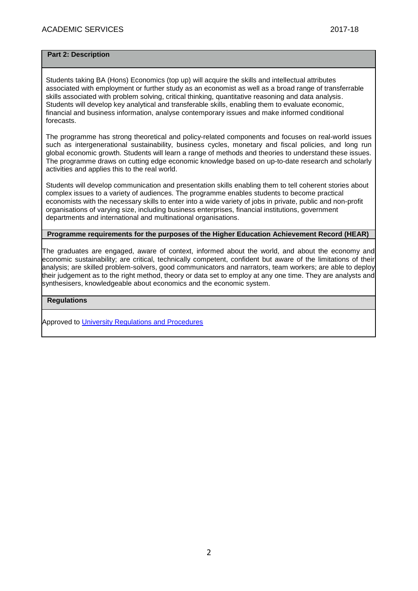## **Part 2: Description**

Students taking BA (Hons) Economics (top up) will acquire the skills and intellectual attributes associated with employment or further study as an economist as well as a broad range of transferrable skills associated with problem solving, critical thinking, quantitative reasoning and data analysis. Students will develop key analytical and transferable skills, enabling them to evaluate economic, financial and business information, analyse contemporary issues and make informed conditional forecasts.

The programme has strong theoretical and policy-related components and focuses on real-world issues such as intergenerational sustainability, business cycles, monetary and fiscal policies, and long run global economic growth. Students will learn a range of methods and theories to understand these issues. The programme draws on cutting edge economic knowledge based on up-to-date research and scholarly activities and applies this to the real world.

Students will develop communication and presentation skills enabling them to tell coherent stories about complex issues to a variety of audiences. The programme enables students to become practical economists with the necessary skills to enter into a wide variety of jobs in private, public and non-profit organisations of varying size, including business enterprises, financial institutions, government departments and international and multinational organisations.

## **Programme requirements for the purposes of the Higher Education Achievement Record (HEAR)**

The graduates are engaged, aware of context, informed about the world, and about the economy and economic sustainability; are critical, technically competent, confident but aware of the limitations of their analysis; are skilled problem-solvers, good communicators and narrators, team workers; are able to deploy their judgement as to the right method, theory or data set to employ at any one time. They are analysts and synthesisers, knowledgeable about economics and the economic system.

### **Regulations**

Approved to [University Regulations and Procedures](http://www1.uwe.ac.uk/students/academicadvice/assessments/regulationsandprocedures.aspx)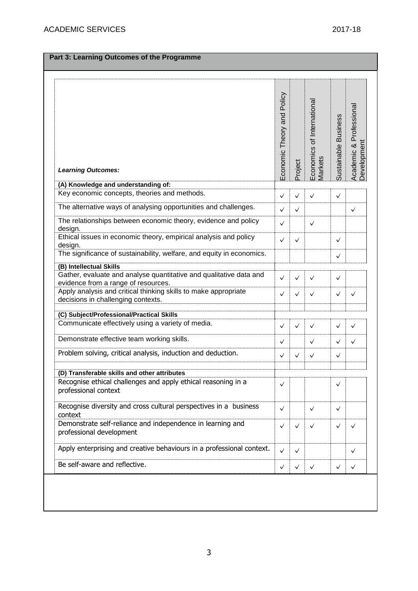| <b>Learning Outcomes:</b>                                                                                                            | Economic Theory and Policy | Project      | Economics of Internationa<br>Vlarkets | Sustainable Business | Academic & Professional<br>Development |
|--------------------------------------------------------------------------------------------------------------------------------------|----------------------------|--------------|---------------------------------------|----------------------|----------------------------------------|
| (A) Knowledge and understanding of:                                                                                                  |                            |              |                                       |                      |                                        |
| Key economic concepts, theories and methods.                                                                                         | ✓                          | $\checkmark$ | ✓                                     | $\checkmark$         |                                        |
| The alternative ways of analysing opportunities and challenges.                                                                      | $\checkmark$               | $\checkmark$ |                                       |                      | $\checkmark$                           |
| The relationships between economic theory, evidence and policy<br>design.                                                            | ✓                          |              | $\checkmark$                          |                      |                                        |
| Ethical issues in economic theory, empirical analysis and policy<br>design.                                                          | ✓                          | $\checkmark$ |                                       | $\checkmark$         |                                        |
| The significance of sustainability, welfare, and equity in economics.                                                                |                            |              |                                       | ✓                    |                                        |
| (B) Intellectual Skills<br>Gather, evaluate and analyse quantitative and qualitative data and<br>evidence from a range of resources. | ✓                          | $\checkmark$ | ✓                                     | $\checkmark$         |                                        |
| Apply analysis and critical thinking skills to make appropriate<br>decisions in challenging contexts.                                | ✓                          | $\checkmark$ | ✓                                     | $\checkmark$         | $\checkmark$                           |
| (C) Subject/Professional/Practical Skills                                                                                            |                            |              |                                       |                      |                                        |
| Communicate effectively using a variety of media.                                                                                    |                            |              |                                       |                      |                                        |
|                                                                                                                                      | ✓                          | $\checkmark$ | ✓                                     | ✓                    | $\checkmark$                           |
| Demonstrate effective team working skills.                                                                                           | ✓                          |              | ✓                                     | ✓                    | $\checkmark$                           |
| Problem solving, critical analysis, induction and deduction.                                                                         | ✓                          | $\checkmark$ | ✓                                     | ✓                    |                                        |
| (D) Transferable skills and other attributes                                                                                         |                            |              |                                       |                      |                                        |
| Recognise ethical challenges and apply ethical reasoning in a<br>professional context                                                | ✓                          |              |                                       | ✓                    |                                        |
| Recognise diversity and cross cultural perspectives in a business<br>context                                                         | ✓                          |              | ✓                                     | $\checkmark$         |                                        |
| Demonstrate self-reliance and independence in learning and<br>professional development                                               | ✓                          | $\checkmark$ | ✓                                     | $\checkmark$         | ✓                                      |
| Apply enterprising and creative behaviours in a professional context.                                                                | $\checkmark$               | $\checkmark$ |                                       |                      | $\checkmark$                           |
| Be self-aware and reflective.                                                                                                        | ✓                          | $\checkmark$ | $\checkmark$                          | ✓                    | $\checkmark$                           |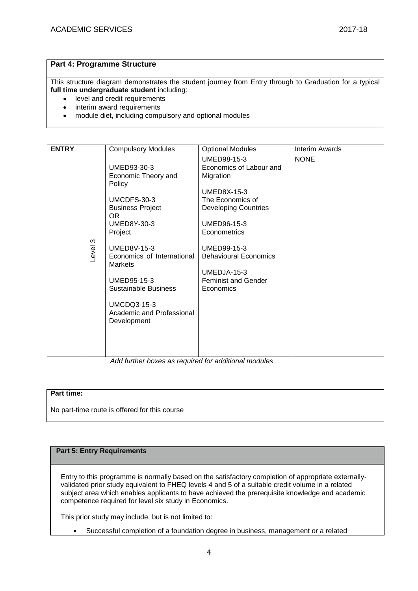## **Part 4: Programme Structure**

This structure diagram demonstrates the student journey from Entry through to Graduation for a typical **full time undergraduate student** including:

- level and credit requirements
- interim award requirements
- module diet, including compulsory and optional modules

| <b>ENTRY</b> |            | <b>Compulsory Modules</b>                                                                                                                                                                                                                                                                                            | <b>Optional Modules</b>                                                                                                                                                                                                                                              | Interim Awards |
|--------------|------------|----------------------------------------------------------------------------------------------------------------------------------------------------------------------------------------------------------------------------------------------------------------------------------------------------------------------|----------------------------------------------------------------------------------------------------------------------------------------------------------------------------------------------------------------------------------------------------------------------|----------------|
|              | ო<br>Level | UMED93-30-3<br>Economic Theory and<br>Policy<br>UMCDFS-30-3<br><b>Business Project</b><br>OR.<br><b>UMED8Y-30-3</b><br>Project<br><b>UMED8V-15-3</b><br>Economics of International<br><b>Markets</b><br>UMED95-15-3<br><b>Sustainable Business</b><br><b>UMCDQ3-15-3</b><br>Academic and Professional<br>Development | UMED98-15-3<br>Economics of Labour and<br>Migration<br><b>UMED8X-15-3</b><br>The Economics of<br><b>Developing Countries</b><br>UMED96-15-3<br>Econometrics<br>UMED99-15-3<br><b>Behavioural Economics</b><br>UMEDJA-15-3<br><b>Feminist and Gender</b><br>Economics | <b>NONE</b>    |

*Add further boxes as required for additional modules*

### **Part time:**

No part-time route is offered for this course

## **Part 5: Entry Requirements**

Entry to this programme is normally based on the satisfactory completion of appropriate externallyvalidated prior study equivalent to FHEQ levels 4 and 5 of a suitable credit volume in a related subject area which enables applicants to have achieved the prerequisite knowledge and academic competence required for level six study in Economics.

This prior study may include, but is not limited to:

Successful completion of a foundation degree in business, management or a related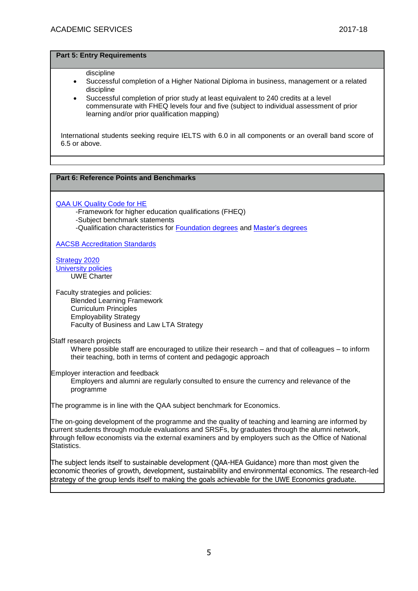#### **Part 5: Entry Requirements**

#### discipline

- Successful completion of a Higher National Diploma in business, management or a related discipline
- Successful completion of prior study at least equivalent to 240 credits at a level commensurate with FHEQ levels four and five (subject to individual assessment of prior learning and/or prior qualification mapping)

International students seeking require IELTS with 6.0 in all components or an overall band score of 6.5 or above.

## **Part 6: Reference Points and Benchmarks**

[QAA UK Quality Code for HE](http://www.qaa.ac.uk/assuringstandardsandquality/quality-code/Pages/default.aspx)

-Framework for higher education qualifications (FHEQ)

- -Subject benchmark statements
- -Qualification characteristics for [Foundation degrees](http://www.qaa.ac.uk/en/Publications/Documents/Foundation-degree-qualification-benchmark-2010.pdf) and [Master's degrees](http://www.qaa.ac.uk/en/Publications/Documents/Masters-Degree-Characteristics-2010.pdf)

[AACSB Accreditation Standards](https://www.aacsb.edu/accreditation/standards)

[Strategy 2020](http://www1.uwe.ac.uk/about/corporateinformation/strategy.aspx) [University](http://www1.uwe.ac.uk/aboutus/policies) policies UWE Charter

Faculty strategies and policies:

Blended Learning Framework Curriculum Principles Employability Strategy Faculty of Business and Law LTA Strategy

Staff research projects

Where possible staff are encouraged to utilize their research – and that of colleagues – to inform their teaching, both in terms of content and pedagogic approach

Employer interaction and feedback

Employers and alumni are regularly consulted to ensure the currency and relevance of the programme

The programme is in line with the QAA subject benchmark for Economics.

The on-going development of the programme and the quality of teaching and learning are informed by current students through module evaluations and SRSFs, by graduates through the alumni network, through fellow economists via the external examiners and by employers such as the Office of National Statistics.

The subject lends itself to sustainable development (QAA-HEA Guidance) more than most given the economic theories of growth, development, sustainability and environmental economics. The research-led strategy of the group lends itself to making the goals achievable for the UWE Economics graduate.